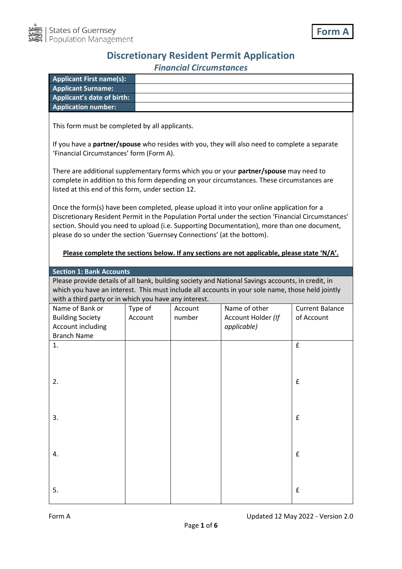

## **Discretionary Resident Permit Application** *Financial Circumstances*

| <b>Applicant First name(s):</b>   |  |
|-----------------------------------|--|
| <b>Applicant Surname:</b>         |  |
| <b>Applicant's date of birth:</b> |  |
| <b>Application number:</b>        |  |

This form must be completed by all applicants.

If you have a **partner/spouse** who resides with you, they will also need to complete a separate 'Financial Circumstances' form (Form A).

There are additional supplementary forms which you or your **partner/spouse** may need to complete in addition to this form depending on your circumstances. These circumstances are listed at this end of this form, under section 12.

Once the form(s) have been completed, please upload it into your online application for a Discretionary Resident Permit in the Population Portal under the section 'Financial Circumstances' section. Should you need to upload (i.e. Supporting Documentation), more than one document, please do so under the section 'Guernsey Connections' (at the bottom).

## **Please complete the sections below. If any sections are not applicable, please state 'N/A'.**

**Section 1: Bank Accounts**

Please provide details of all bank, building society and National Savings accounts, in credit, in which you have an interest. This must include all accounts in your sole name, those held jointly with a third party or in which you have any interest.

| Name of Bank or<br><b>Building Society</b> | Type of<br>Account | Account<br>number | Name of other<br>Account Holder (If | <b>Current Balance</b><br>of Account |
|--------------------------------------------|--------------------|-------------------|-------------------------------------|--------------------------------------|
| Account including<br><b>Branch Name</b>    |                    |                   | applicable)                         |                                      |
| 1.                                         |                    |                   |                                     | $\mathbf f$                          |
|                                            |                    |                   |                                     |                                      |
|                                            |                    |                   |                                     |                                      |
| 2.                                         |                    |                   |                                     | $\mathbf f$                          |
|                                            |                    |                   |                                     |                                      |
|                                            |                    |                   |                                     |                                      |
| 3.                                         |                    |                   |                                     | $\mathbf f$                          |
|                                            |                    |                   |                                     |                                      |
| 4.                                         |                    |                   |                                     | $\pmb{\mathsf{f}}$                   |
|                                            |                    |                   |                                     |                                      |
|                                            |                    |                   |                                     |                                      |
| 5.                                         |                    |                   |                                     | $\pmb{\mathsf{f}}$                   |
|                                            |                    |                   |                                     |                                      |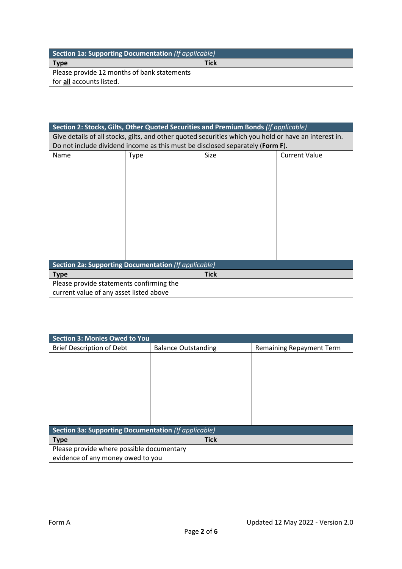| Section 1a: Supporting Documentation (If applicable) |             |  |
|------------------------------------------------------|-------------|--|
| <b>Type</b>                                          | <b>Tick</b> |  |
| Please provide 12 months of bank statements          |             |  |
| for all accounts listed.                             |             |  |

| Section 2: Stocks, Gilts, Other Quoted Securities and Premium Bonds (If applicable)                   |      |             |                      |
|-------------------------------------------------------------------------------------------------------|------|-------------|----------------------|
| Give details of all stocks, gilts, and other quoted securities which you hold or have an interest in. |      |             |                      |
| Do not include dividend income as this must be disclosed separately (Form F).                         |      |             |                      |
| Name                                                                                                  | Type | Size        | <b>Current Value</b> |
|                                                                                                       |      |             |                      |
|                                                                                                       |      |             |                      |
|                                                                                                       |      |             |                      |
|                                                                                                       |      |             |                      |
|                                                                                                       |      |             |                      |
|                                                                                                       |      |             |                      |
|                                                                                                       |      |             |                      |
|                                                                                                       |      |             |                      |
|                                                                                                       |      |             |                      |
|                                                                                                       |      |             |                      |
|                                                                                                       |      |             |                      |
| Section 2a: Supporting Documentation (If applicable)                                                  |      |             |                      |
| <b>Type</b>                                                                                           |      | <b>Tick</b> |                      |
| Please provide statements confirming the                                                              |      |             |                      |
| current value of any asset listed above                                                               |      |             |                      |

| Section 3: Monies Owed to You                        |                            |             |                                 |
|------------------------------------------------------|----------------------------|-------------|---------------------------------|
| <b>Brief Description of Debt</b>                     | <b>Balance Outstanding</b> |             | <b>Remaining Repayment Term</b> |
|                                                      |                            |             |                                 |
|                                                      |                            |             |                                 |
|                                                      |                            |             |                                 |
|                                                      |                            |             |                                 |
|                                                      |                            |             |                                 |
|                                                      |                            |             |                                 |
|                                                      |                            |             |                                 |
|                                                      |                            |             |                                 |
| Section 3a: Supporting Documentation (If applicable) |                            |             |                                 |
| <b>Type</b>                                          |                            | <b>Tick</b> |                                 |
| Please provide where possible documentary            |                            |             |                                 |
| evidence of any money owed to you                    |                            |             |                                 |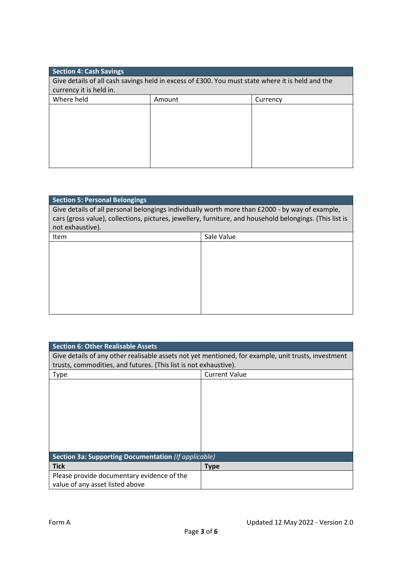| <b>Section 4: Cash Savings</b>                                                                   |        |          |  |
|--------------------------------------------------------------------------------------------------|--------|----------|--|
| Give details of all cash savings held in excess of £300. You must state where it is held and the |        |          |  |
| currency it is held in.                                                                          |        |          |  |
| Where held                                                                                       | Amount | Currency |  |
|                                                                                                  |        |          |  |
|                                                                                                  |        |          |  |
|                                                                                                  |        |          |  |
|                                                                                                  |        |          |  |
|                                                                                                  |        |          |  |
|                                                                                                  |        |          |  |
|                                                                                                  |        |          |  |

| <b>Section 5: Personal Belongings</b>                                                                    |            |  |
|----------------------------------------------------------------------------------------------------------|------------|--|
| Give details of all personal belongings individually worth more than £2000 - by way of example,          |            |  |
| cars (gross value), collections, pictures, jewellery, furniture, and household belongings. (This list is |            |  |
| not exhaustive).                                                                                         |            |  |
| Item                                                                                                     | Sale Value |  |
|                                                                                                          |            |  |
|                                                                                                          |            |  |
|                                                                                                          |            |  |
|                                                                                                          |            |  |
|                                                                                                          |            |  |
|                                                                                                          |            |  |
|                                                                                                          |            |  |
|                                                                                                          |            |  |

| <b>Section 6: Other Realisable Assets</b>                                                           |                      |  |
|-----------------------------------------------------------------------------------------------------|----------------------|--|
| Give details of any other realisable assets not yet mentioned, for example, unit trusts, investment |                      |  |
| trusts, commodities, and futures. (This list is not exhaustive).                                    |                      |  |
| <b>Type</b>                                                                                         | <b>Current Value</b> |  |
|                                                                                                     |                      |  |
|                                                                                                     |                      |  |
|                                                                                                     |                      |  |
|                                                                                                     |                      |  |
|                                                                                                     |                      |  |
|                                                                                                     |                      |  |
|                                                                                                     |                      |  |
|                                                                                                     |                      |  |
| Section 3a: Supporting Documentation (If applicable)                                                |                      |  |
| <b>Tick</b>                                                                                         | <b>Type</b>          |  |
| Please provide documentary evidence of the                                                          |                      |  |
| value of any asset listed above                                                                     |                      |  |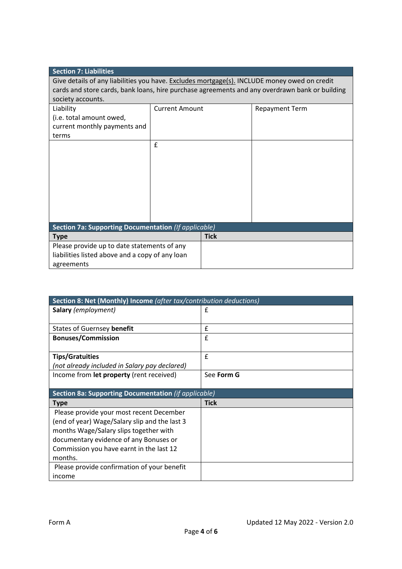| <b>Section 7: Liabilities</b>                                                                  |                       |             |                       |
|------------------------------------------------------------------------------------------------|-----------------------|-------------|-----------------------|
| Give details of any liabilities you have. Excludes mortgage(s). INCLUDE money owed on credit   |                       |             |                       |
| cards and store cards, bank loans, hire purchase agreements and any overdrawn bank or building |                       |             |                       |
| society accounts.                                                                              |                       |             |                       |
| Liability                                                                                      | <b>Current Amount</b> |             | <b>Repayment Term</b> |
| (i.e. total amount owed,                                                                       |                       |             |                       |
| current monthly payments and                                                                   |                       |             |                       |
| terms                                                                                          |                       |             |                       |
|                                                                                                | £                     |             |                       |
|                                                                                                |                       |             |                       |
|                                                                                                |                       |             |                       |
|                                                                                                |                       |             |                       |
|                                                                                                |                       |             |                       |
|                                                                                                |                       |             |                       |
|                                                                                                |                       |             |                       |
|                                                                                                |                       |             |                       |
|                                                                                                |                       |             |                       |
| <b>Section 7a: Supporting Documentation (If applicable)</b>                                    |                       |             |                       |
| <b>Type</b>                                                                                    |                       | <b>Tick</b> |                       |
| Please provide up to date statements of any                                                    |                       |             |                       |
| liabilities listed above and a copy of any loan                                                |                       |             |                       |
| agreements                                                                                     |                       |             |                       |

| Section 8: Net (Monthly) Income (after tax/contribution deductions) |              |
|---------------------------------------------------------------------|--------------|
| <b>Salary</b> (employment)                                          | £            |
|                                                                     |              |
| States of Guernsey benefit                                          | £            |
| <b>Bonuses/Commission</b>                                           | £            |
|                                                                     | $\mathbf{f}$ |
| <b>Tips/Gratuities</b>                                              |              |
| (not already included in Salary pay declared)                       |              |
| Income from <b>let property</b> (rent received)                     | See Form G   |
|                                                                     |              |
|                                                                     |              |
| Section 8a: Supporting Documentation (if applicable)                |              |
| <b>Type</b>                                                         | <b>Tick</b>  |
| Please provide your most recent December                            |              |
| (end of year) Wage/Salary slip and the last 3                       |              |
| months Wage/Salary slips together with                              |              |
| documentary evidence of any Bonuses or                              |              |
| Commission you have earnt in the last 12                            |              |
| months.                                                             |              |
| Please provide confirmation of your benefit                         |              |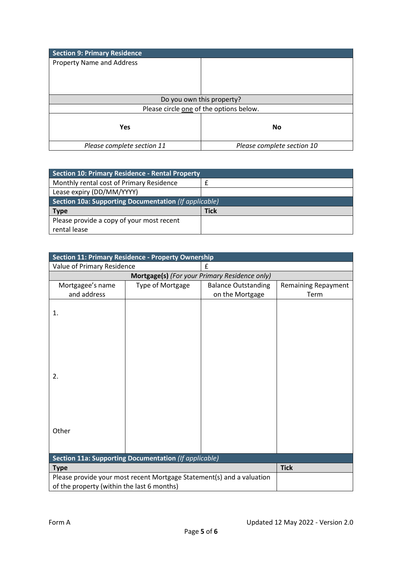| <b>Section 9: Primary Residence</b>     |                            |  |
|-----------------------------------------|----------------------------|--|
| <b>Property Name and Address</b>        |                            |  |
|                                         |                            |  |
|                                         |                            |  |
|                                         |                            |  |
| Do you own this property?               |                            |  |
| Please circle one of the options below. |                            |  |
|                                         |                            |  |
| <b>Yes</b>                              | <b>No</b>                  |  |
|                                         |                            |  |
| Please complete section 11              | Please complete section 10 |  |

| <b>Section 10: Primary Residence - Rental Property</b> |             |  |
|--------------------------------------------------------|-------------|--|
| Monthly rental cost of Primary Residence               |             |  |
| Lease expiry (DD/MM/YYYY)                              |             |  |
| Section 10a: Supporting Documentation (If applicable)  |             |  |
| <b>Type</b>                                            | <b>Tick</b> |  |
| Please provide a copy of your most recent              |             |  |
| rental lease                                           |             |  |

| <b>Section 11: Primary Residence - Property Ownership</b>             |                  |                            |                            |  |
|-----------------------------------------------------------------------|------------------|----------------------------|----------------------------|--|
| Value of Primary Residence                                            |                  | £                          |                            |  |
| Mortgage(s) (For your Primary Residence only)                         |                  |                            |                            |  |
| Mortgagee's name                                                      | Type of Mortgage | <b>Balance Outstanding</b> | <b>Remaining Repayment</b> |  |
| and address                                                           |                  | on the Mortgage            | Term                       |  |
|                                                                       |                  |                            |                            |  |
| 1.                                                                    |                  |                            |                            |  |
|                                                                       |                  |                            |                            |  |
|                                                                       |                  |                            |                            |  |
|                                                                       |                  |                            |                            |  |
|                                                                       |                  |                            |                            |  |
|                                                                       |                  |                            |                            |  |
| 2.                                                                    |                  |                            |                            |  |
|                                                                       |                  |                            |                            |  |
|                                                                       |                  |                            |                            |  |
|                                                                       |                  |                            |                            |  |
|                                                                       |                  |                            |                            |  |
|                                                                       |                  |                            |                            |  |
| Other                                                                 |                  |                            |                            |  |
|                                                                       |                  |                            |                            |  |
|                                                                       |                  |                            |                            |  |
| Section 11a: Supporting Documentation (If applicable)                 |                  |                            |                            |  |
| <b>Type</b>                                                           |                  | <b>Tick</b>                |                            |  |
| Please provide your most recent Mortgage Statement(s) and a valuation |                  |                            |                            |  |
| of the property (within the last 6 months)                            |                  |                            |                            |  |